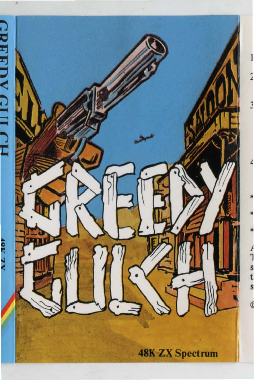

**48K ZX Spectrum**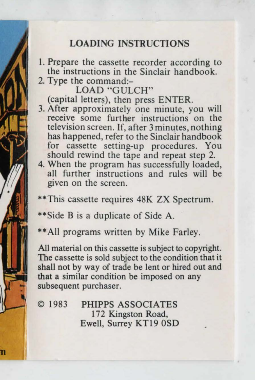## **LOADING** INSTRUCTIONS

- l. Prepare the cassette recorder according to the instructions in the Sinclair handbook.
- 2. Type the command:-

LOAD "GULCH"

(capital letters), then press ENTER.

- 3. After approximately one minute, you will receive some further instructions on the television screen. If, after 3 minutes, nothing has happened, refer to the Sinclair handbook for cassette setting-up procedures. You should rewind the tape and repeat step 2.
- 4. When the program has successfully loaded, all further instructions and rules will be given on the screen.

\*\*This cassette requires 48K ZX Spectrum.

\*\*Side B is a duplicate of Side A.

\*\*All programs written by Mike Farley.

All material on this cassette is subject to copyright. The cassette is sold subject to the condition that it shall not by way of trade be lent or hired out and that a similar condition be imposed on any subsequent purchaser.

© 1983 PHIPPS ASSOCIATES 172 Kingston Road, Ewell, Surrey KT19 0SD